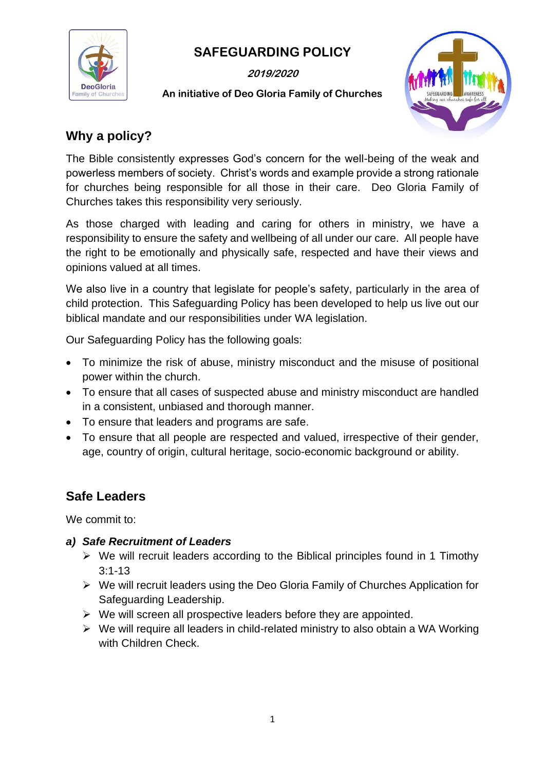

# **SAFEGUARDING POLICY**

**2019/2020**

## **An initiative of Deo Gloria Family of Churches**



# **Why a policy?**

The Bible consistently expresses God's concern for the well-being of the weak and powerless members of society. Christ's words and example provide a strong rationale for churches being responsible for all those in their care. Deo Gloria Family of Churches takes this responsibility very seriously.

As those charged with leading and caring for others in ministry, we have a responsibility to ensure the safety and wellbeing of all under our care. All people have the right to be emotionally and physically safe, respected and have their views and opinions valued at all times.

We also live in a country that legislate for people's safety, particularly in the area of child protection. This Safeguarding Policy has been developed to help us live out our biblical mandate and our responsibilities under WA legislation.

Our Safeguarding Policy has the following goals:

- To minimize the risk of abuse, ministry misconduct and the misuse of positional power within the church.
- To ensure that all cases of suspected abuse and ministry misconduct are handled in a consistent, unbiased and thorough manner.
- To ensure that leaders and programs are safe.
- To ensure that all people are respected and valued, irrespective of their gender, age, country of origin, cultural heritage, socio-economic background or ability.

# **Safe Leaders**

We commit to:

#### *a) Safe Recruitment of Leaders*

- $\triangleright$  We will recruit leaders according to the Biblical principles found in 1 Timothy 3:1-13
- ➢ We will recruit leaders using the Deo Gloria Family of Churches Application for Safeguarding Leadership.
- $\triangleright$  We will screen all prospective leaders before they are appointed.
- ➢ We will require all leaders in child-related ministry to also obtain a WA Working with Children Check.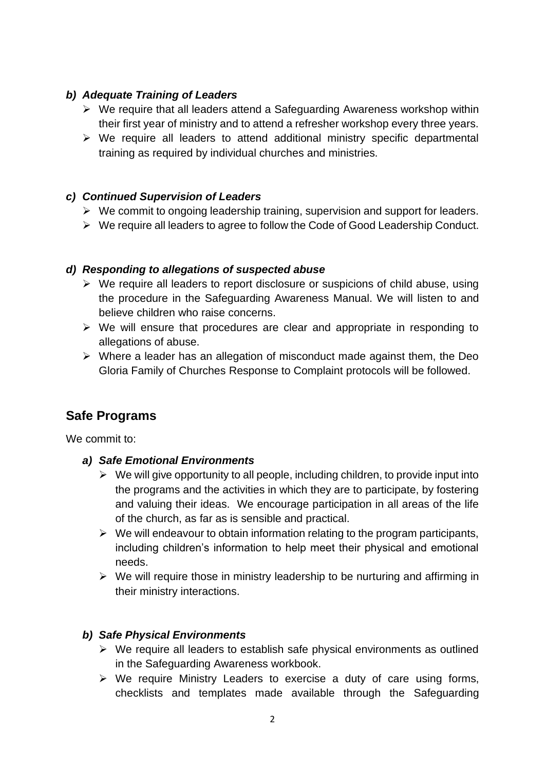### *b) Adequate Training of Leaders*

- ➢ We require that all leaders attend a Safeguarding Awareness workshop within their first year of ministry and to attend a refresher workshop every three years.
- ➢ We require all leaders to attend additional ministry specific departmental training as required by individual churches and ministries.

### *c) Continued Supervision of Leaders*

- $\triangleright$  We commit to ongoing leadership training, supervision and support for leaders.
- ➢ We require all leaders to agree to follow the Code of Good Leadership Conduct.

#### *d) Responding to allegations of suspected abuse*

- ➢ We require all leaders to report disclosure or suspicions of child abuse, using the procedure in the Safeguarding Awareness Manual. We will listen to and believe children who raise concerns.
- ➢ We will ensure that procedures are clear and appropriate in responding to allegations of abuse.
- ➢ Where a leader has an allegation of misconduct made against them, the Deo Gloria Family of Churches Response to Complaint protocols will be followed.

# **Safe Programs**

We commit to:

- *a) Safe Emotional Environments*
	- $\triangleright$  We will give opportunity to all people, including children, to provide input into the programs and the activities in which they are to participate, by fostering and valuing their ideas. We encourage participation in all areas of the life of the church, as far as is sensible and practical.
	- $\triangleright$  We will endeavour to obtain information relating to the program participants, including children's information to help meet their physical and emotional needs.
	- $\triangleright$  We will require those in ministry leadership to be nurturing and affirming in their ministry interactions.

## *b) Safe Physical Environments*

- ➢ We require all leaders to establish safe physical environments as outlined in the Safeguarding Awareness workbook.
- ➢ We require Ministry Leaders to exercise a duty of care using forms, checklists and templates made available through the Safeguarding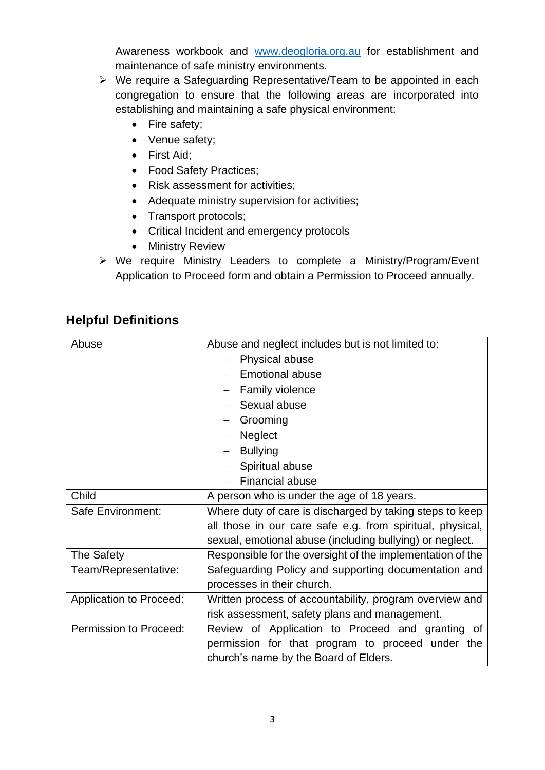Awareness workbook and [www.deogloria.org.au](http://www.deogloria.org.au/) for establishment and maintenance of safe ministry environments.

- ➢ We require a Safeguarding Representative/Team to be appointed in each congregation to ensure that the following areas are incorporated into establishing and maintaining a safe physical environment:
	- Fire safety;
	- Venue safety;
	- First Aid;
	- Food Safety Practices;
	- Risk assessment for activities;
	- Adequate ministry supervision for activities;
	- Transport protocols;
	- Critical Incident and emergency protocols
	- Ministry Review
- ➢ We require Ministry Leaders to complete a Ministry/Program/Event Application to Proceed form and obtain a Permission to Proceed annually.

# **Helpful Definitions**

| Abuse                          | Abuse and neglect includes but is not limited to:          |
|--------------------------------|------------------------------------------------------------|
|                                | Physical abuse                                             |
|                                | <b>Emotional abuse</b>                                     |
|                                | Family violence                                            |
|                                | Sexual abuse                                               |
|                                | Grooming                                                   |
|                                | Neglect                                                    |
|                                | <b>Bullying</b>                                            |
|                                | Spiritual abuse                                            |
|                                | <b>Financial abuse</b>                                     |
| Child                          | A person who is under the age of 18 years.                 |
| Safe Environment:              | Where duty of care is discharged by taking steps to keep   |
|                                | all those in our care safe e.g. from spiritual, physical,  |
|                                | sexual, emotional abuse (including bullying) or neglect.   |
| The Safety                     | Responsible for the oversight of the implementation of the |
| Team/Representative:           | Safeguarding Policy and supporting documentation and       |
|                                | processes in their church.                                 |
| <b>Application to Proceed:</b> | Written process of accountability, program overview and    |
|                                | risk assessment, safety plans and management.              |
| Permission to Proceed:         | Review of Application to Proceed and granting of           |
|                                | permission for that program to proceed under the           |
|                                | church's name by the Board of Elders.                      |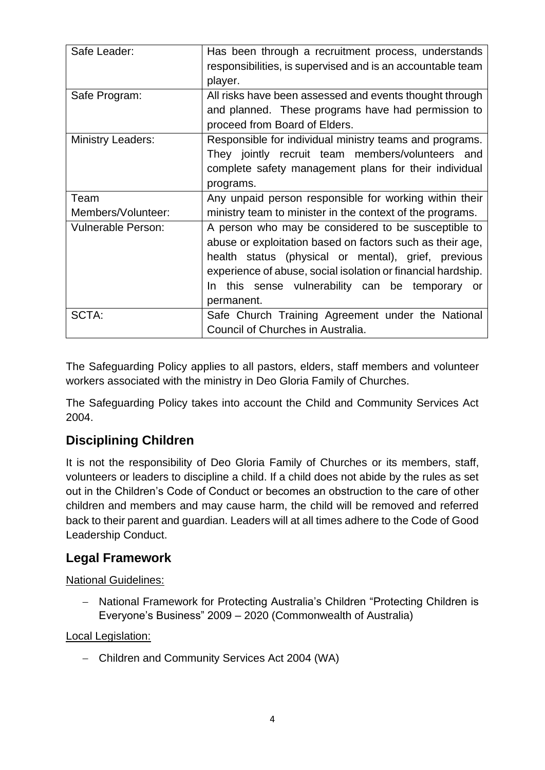| Safe Leader:              | Has been through a recruitment process, understands<br>responsibilities, is supervised and is an accountable team<br>player. |
|---------------------------|------------------------------------------------------------------------------------------------------------------------------|
| Safe Program:             | All risks have been assessed and events thought through                                                                      |
|                           | and planned. These programs have had permission to                                                                           |
|                           | proceed from Board of Elders.                                                                                                |
|                           |                                                                                                                              |
| <b>Ministry Leaders:</b>  | Responsible for individual ministry teams and programs.                                                                      |
|                           | They jointly recruit team members/volunteers and                                                                             |
|                           | complete safety management plans for their individual                                                                        |
|                           | programs.                                                                                                                    |
| Team                      | Any unpaid person responsible for working within their                                                                       |
| Members/Volunteer:        | ministry team to minister in the context of the programs.                                                                    |
| <b>Vulnerable Person:</b> | A person who may be considered to be susceptible to                                                                          |
|                           | abuse or exploitation based on factors such as their age,                                                                    |
|                           | health status (physical or mental), grief, previous                                                                          |
|                           | experience of abuse, social isolation or financial hardship.                                                                 |
|                           | In this sense vulnerability can be temporary or                                                                              |
|                           | permanent.                                                                                                                   |
| SCTA:                     | Safe Church Training Agreement under the National                                                                            |
|                           | Council of Churches in Australia.                                                                                            |

The Safeguarding Policy applies to all pastors, elders, staff members and volunteer workers associated with the ministry in Deo Gloria Family of Churches.

The Safeguarding Policy takes into account the Child and Community Services Act 2004.

# **Disciplining Children**

It is not the responsibility of Deo Gloria Family of Churches or its members, staff, volunteers or leaders to discipline a child. If a child does not abide by the rules as set out in the Children's Code of Conduct or becomes an obstruction to the care of other children and members and may cause harm, the child will be removed and referred back to their parent and guardian. Leaders will at all times adhere to the Code of Good Leadership Conduct.

## **Legal Framework**

#### National Guidelines:

− National Framework for Protecting Australia's Children "Protecting Children is Everyone's Business" 2009 – 2020 (Commonwealth of Australia)

#### Local Legislation:

− Children and Community Services Act 2004 (WA)